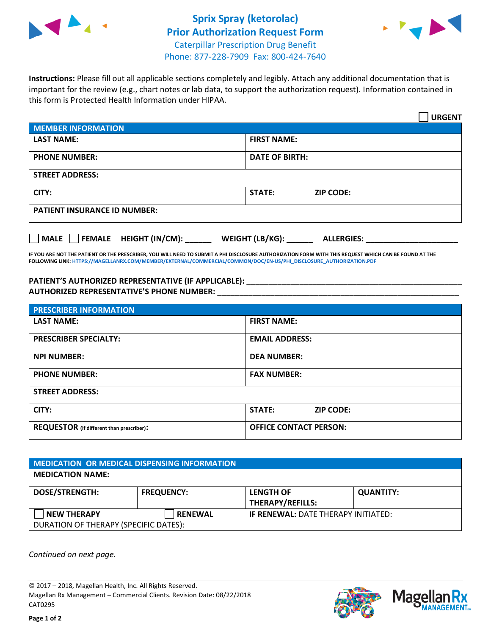



**Instructions:** Please fill out all applicable sections completely and legibly. Attach any additional documentation that is important for the review (e.g., chart notes or lab data, to support the authorization request). Information contained in this form is Protected Health Information under HIPAA.

|                                     | <b>URGENT</b>                        |  |  |  |
|-------------------------------------|--------------------------------------|--|--|--|
| <b>MEMBER INFORMATION</b>           |                                      |  |  |  |
| <b>LAST NAME:</b>                   | <b>FIRST NAME:</b>                   |  |  |  |
| <b>PHONE NUMBER:</b>                | <b>DATE OF BIRTH:</b>                |  |  |  |
| <b>STREET ADDRESS:</b>              |                                      |  |  |  |
| CITY:                               | STATE:<br><b>ZIP CODE:</b>           |  |  |  |
| <b>PATIENT INSURANCE ID NUMBER:</b> |                                      |  |  |  |
| FEMALE HEIGHT (IN/CM):<br>    MALE  | WEIGHT (LB/KG):<br><b>ALLERGIES:</b> |  |  |  |

**IF YOU ARE NOT THE PATIENT OR THE PRESCRIBER, YOU WILL NEED TO SUBMIT A PHI DISCLOSURE AUTHORIZATION FORM WITH THIS REQUEST WHICH CAN BE FOUND AT THE FOLLOWING LINK[: HTTPS://MAGELLANRX.COM/MEMBER/EXTERNAL/COMMERCIAL/COMMON/DOC/EN-US/PHI\\_DISCLOSURE\\_AUTHORIZATION.PDF](https://magellanrx.com/member/external/commercial/common/doc/en-us/PHI_Disclosure_Authorization.pdf)**

**PATIENT'S AUTHORIZED REPRESENTATIVE (IF APPLICABLE): \_\_\_\_\_\_\_\_\_\_\_\_\_\_\_\_\_\_\_\_\_\_\_\_\_\_\_\_\_\_\_\_\_\_\_\_\_\_\_\_\_\_\_\_\_\_\_\_\_ AUTHORIZED REPRESENTATIVE'S PHONE NUMBER:** \_\_\_\_\_\_\_\_\_\_\_\_\_\_\_\_\_\_\_\_\_\_\_\_\_\_\_\_\_\_\_\_\_\_\_\_\_\_\_\_\_\_\_\_\_\_\_\_\_\_\_\_\_\_\_

| <b>PRESCRIBER INFORMATION</b>             |                               |  |  |  |
|-------------------------------------------|-------------------------------|--|--|--|
| <b>LAST NAME:</b>                         | <b>FIRST NAME:</b>            |  |  |  |
| <b>PRESCRIBER SPECIALTY:</b>              | <b>EMAIL ADDRESS:</b>         |  |  |  |
| <b>NPI NUMBER:</b>                        | <b>DEA NUMBER:</b>            |  |  |  |
| <b>PHONE NUMBER:</b>                      | <b>FAX NUMBER:</b>            |  |  |  |
| <b>STREET ADDRESS:</b>                    |                               |  |  |  |
| CITY:                                     | STATE:<br><b>ZIP CODE:</b>    |  |  |  |
| REQUESTOR (if different than prescriber): | <b>OFFICE CONTACT PERSON:</b> |  |  |  |

| <b>MEDICATION OR MEDICAL DISPENSING INFORMATION</b> |                   |                                            |                  |  |  |
|-----------------------------------------------------|-------------------|--------------------------------------------|------------------|--|--|
| <b>MEDICATION NAME:</b>                             |                   |                                            |                  |  |  |
| <b>DOSE/STRENGTH:</b>                               | <b>FREQUENCY:</b> | <b>LENGTH OF</b>                           | <b>QUANTITY:</b> |  |  |
|                                                     |                   | <b>THERAPY/REFILLS:</b>                    |                  |  |  |
| <b>NEW THERAPY</b>                                  | <b>RENEWAL</b>    | <b>IF RENEWAL: DATE THERAPY INITIATED:</b> |                  |  |  |
| DURATION OF THERAPY (SPECIFIC DATES):               |                   |                                            |                  |  |  |

*Continued on next page.*

© 2017 – 2018, Magellan Health, Inc. All Rights Reserved. Magellan Rx Management – Commercial Clients. Revision Date: 08/22/2018 CAT0295



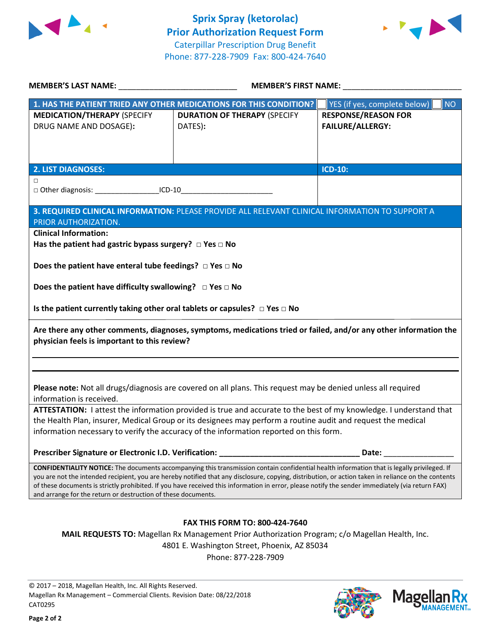



| <b>MEMBER'S LAST NAME:</b> NAME                                                                                                                                                                                                                                                                                                                                                                                                                                                                                                | <b>MEMBER'S FIRST NAME:</b>                                                                                          |                                           |  |  |
|--------------------------------------------------------------------------------------------------------------------------------------------------------------------------------------------------------------------------------------------------------------------------------------------------------------------------------------------------------------------------------------------------------------------------------------------------------------------------------------------------------------------------------|----------------------------------------------------------------------------------------------------------------------|-------------------------------------------|--|--|
|                                                                                                                                                                                                                                                                                                                                                                                                                                                                                                                                | 1. HAS THE PATIENT TRIED ANY OTHER MEDICATIONS FOR THIS CONDITION?                                                   | <b>NO</b><br>YES (if yes, complete below) |  |  |
| <b>MEDICATION/THERAPY (SPECIFY</b>                                                                                                                                                                                                                                                                                                                                                                                                                                                                                             | <b>DURATION OF THERAPY (SPECIFY</b>                                                                                  | <b>RESPONSE/REASON FOR</b>                |  |  |
| DRUG NAME AND DOSAGE):                                                                                                                                                                                                                                                                                                                                                                                                                                                                                                         | DATES):                                                                                                              | <b>FAILURE/ALLERGY:</b>                   |  |  |
|                                                                                                                                                                                                                                                                                                                                                                                                                                                                                                                                |                                                                                                                      |                                           |  |  |
|                                                                                                                                                                                                                                                                                                                                                                                                                                                                                                                                |                                                                                                                      |                                           |  |  |
| <b>2. LIST DIAGNOSES:</b>                                                                                                                                                                                                                                                                                                                                                                                                                                                                                                      |                                                                                                                      | ICD-10:                                   |  |  |
| □                                                                                                                                                                                                                                                                                                                                                                                                                                                                                                                              |                                                                                                                      |                                           |  |  |
| □ Other diagnosis: ____________________ICD-10__________________________________                                                                                                                                                                                                                                                                                                                                                                                                                                                |                                                                                                                      |                                           |  |  |
|                                                                                                                                                                                                                                                                                                                                                                                                                                                                                                                                | 3. REQUIRED CLINICAL INFORMATION: PLEASE PROVIDE ALL RELEVANT CLINICAL INFORMATION TO SUPPORT A                      |                                           |  |  |
| PRIOR AUTHORIZATION.                                                                                                                                                                                                                                                                                                                                                                                                                                                                                                           |                                                                                                                      |                                           |  |  |
| <b>Clinical Information:</b>                                                                                                                                                                                                                                                                                                                                                                                                                                                                                                   |                                                                                                                      |                                           |  |  |
| Has the patient had gastric bypass surgery? $\Box$ Yes $\Box$ No                                                                                                                                                                                                                                                                                                                                                                                                                                                               |                                                                                                                      |                                           |  |  |
| Does the patient have enteral tube feedings? $\Box$ Yes $\Box$ No                                                                                                                                                                                                                                                                                                                                                                                                                                                              |                                                                                                                      |                                           |  |  |
|                                                                                                                                                                                                                                                                                                                                                                                                                                                                                                                                |                                                                                                                      |                                           |  |  |
| Does the patient have difficulty swallowing? $\Box$ Yes $\Box$ No                                                                                                                                                                                                                                                                                                                                                                                                                                                              |                                                                                                                      |                                           |  |  |
|                                                                                                                                                                                                                                                                                                                                                                                                                                                                                                                                |                                                                                                                      |                                           |  |  |
| Is the patient currently taking other oral tablets or capsules? $\Box$ Yes $\Box$ No                                                                                                                                                                                                                                                                                                                                                                                                                                           |                                                                                                                      |                                           |  |  |
| Are there any other comments, diagnoses, symptoms, medications tried or failed, and/or any other information the<br>physician feels is important to this review?                                                                                                                                                                                                                                                                                                                                                               |                                                                                                                      |                                           |  |  |
|                                                                                                                                                                                                                                                                                                                                                                                                                                                                                                                                |                                                                                                                      |                                           |  |  |
|                                                                                                                                                                                                                                                                                                                                                                                                                                                                                                                                |                                                                                                                      |                                           |  |  |
|                                                                                                                                                                                                                                                                                                                                                                                                                                                                                                                                | Please note: Not all drugs/diagnosis are covered on all plans. This request may be denied unless all required        |                                           |  |  |
| information is received.                                                                                                                                                                                                                                                                                                                                                                                                                                                                                                       |                                                                                                                      |                                           |  |  |
| ATTESTATION: I attest the information provided is true and accurate to the best of my knowledge. I understand that                                                                                                                                                                                                                                                                                                                                                                                                             |                                                                                                                      |                                           |  |  |
| the Health Plan, insurer, Medical Group or its designees may perform a routine audit and request the medical<br>information necessary to verify the accuracy of the information reported on this form.                                                                                                                                                                                                                                                                                                                         |                                                                                                                      |                                           |  |  |
|                                                                                                                                                                                                                                                                                                                                                                                                                                                                                                                                |                                                                                                                      |                                           |  |  |
| Prescriber Signature or Electronic I.D. Verification:                                                                                                                                                                                                                                                                                                                                                                                                                                                                          | <u> 1980 - Jan Barbara Barbara, manazarta da kasas da kasas da kasas da kasas da kasas da kasas da kasas da kasa</u> | Date:                                     |  |  |
| <b>CONFIDENTIALITY NOTICE:</b> The documents accompanying this transmission contain confidential health information that is legally privileged. If<br>you are not the intended recipient, you are hereby notified that any disclosure, copying, distribution, or action taken in reliance on the contents<br>of these documents is strictly prohibited. If you have received this information in error, please notify the sender immediately (via return FAX)<br>and arrange for the return or destruction of these documents. |                                                                                                                      |                                           |  |  |
|                                                                                                                                                                                                                                                                                                                                                                                                                                                                                                                                |                                                                                                                      |                                           |  |  |
| <b>FAX THIS FORM TO: 800-424-7640</b>                                                                                                                                                                                                                                                                                                                                                                                                                                                                                          |                                                                                                                      |                                           |  |  |
| MAIL REQUESTS TO: Magellan Rx Management Prior Authorization Program; c/o Magellan Health, Inc.                                                                                                                                                                                                                                                                                                                                                                                                                                |                                                                                                                      |                                           |  |  |
| 4801 E. Washington Street, Phoenix, AZ 85034                                                                                                                                                                                                                                                                                                                                                                                                                                                                                   |                                                                                                                      |                                           |  |  |
| Phone: 877-228-7909                                                                                                                                                                                                                                                                                                                                                                                                                                                                                                            |                                                                                                                      |                                           |  |  |
|                                                                                                                                                                                                                                                                                                                                                                                                                                                                                                                                |                                                                                                                      |                                           |  |  |

© 2017 – 2018, Magellan Health, Inc. All Rights Reserved. Magellan Rx Management – Commercial Clients. Revision Date: 08/22/2018 CAT0295